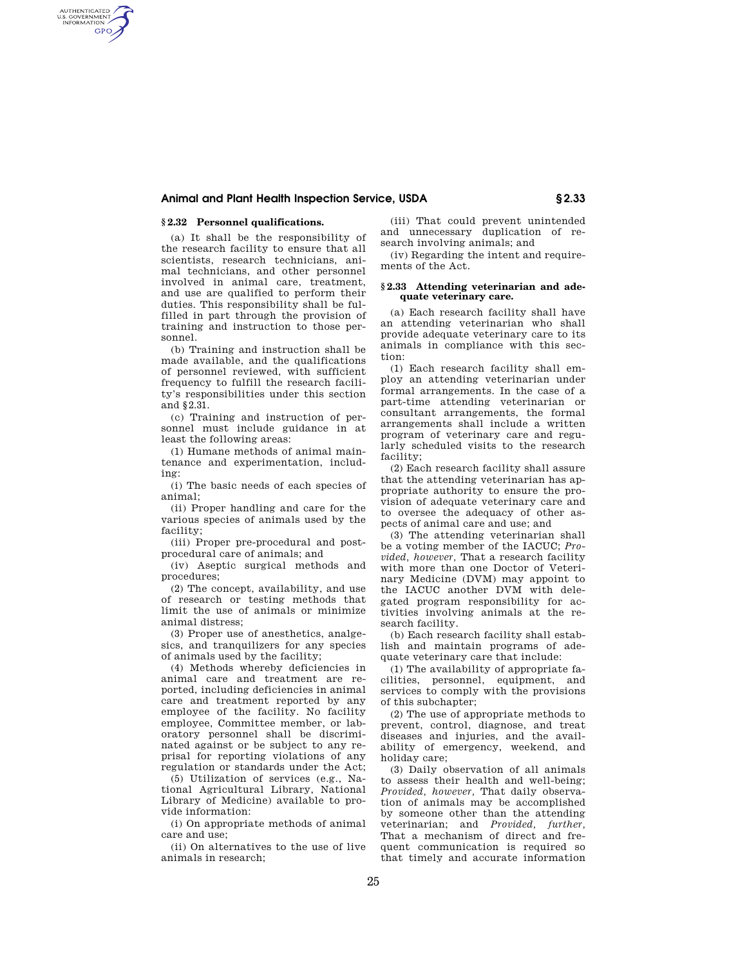## **Animal and Plant Health Inspection Service, USDA § 2.33**

# **§ 2.32 Personnel qualifications.**

AUTHENTICATED<br>U.S. GOVERNMENT<br>INFORMATION **GPO** 

> (a) It shall be the responsibility of the research facility to ensure that all scientists, research technicians, animal technicians, and other personnel involved in animal care, treatment, and use are qualified to perform their duties. This responsibility shall be fulfilled in part through the provision of training and instruction to those personnel.

> (b) Training and instruction shall be made available, and the qualifications of personnel reviewed, with sufficient frequency to fulfill the research facility's responsibilities under this section and §2.31.

> (c) Training and instruction of personnel must include guidance in at least the following areas:

> (1) Humane methods of animal maintenance and experimentation, including:

> (i) The basic needs of each species of animal;

> (ii) Proper handling and care for the various species of animals used by the facility;

(iii) Proper pre-procedural and postprocedural care of animals; and

(iv) Aseptic surgical methods and procedures;

(2) The concept, availability, and use of research or testing methods that limit the use of animals or minimize animal distress;

(3) Proper use of anesthetics, analgesics, and tranquilizers for any species of animals used by the facility;

(4) Methods whereby deficiencies in animal care and treatment are reported, including deficiencies in animal care and treatment reported by any employee of the facility. No facility employee, Committee member, or laboratory personnel shall be discriminated against or be subject to any reprisal for reporting violations of any regulation or standards under the Act;

(5) Utilization of services (e.g., National Agricultural Library, National Library of Medicine) available to provide information:

(i) On appropriate methods of animal care and use;

(ii) On alternatives to the use of live animals in research;

(iii) That could prevent unintended and unnecessary duplication of research involving animals; and

(iv) Regarding the intent and requirements of the Act.

### **§ 2.33 Attending veterinarian and adequate veterinary care.**

(a) Each research facility shall have an attending veterinarian who shall provide adequate veterinary care to its animals in compliance with this section:

(1) Each research facility shall employ an attending veterinarian under formal arrangements. In the case of a part-time attending veterinarian or consultant arrangements, the formal arrangements shall include a written program of veterinary care and regularly scheduled visits to the research facility;

(2) Each research facility shall assure that the attending veterinarian has appropriate authority to ensure the provision of adequate veterinary care and to oversee the adequacy of other aspects of animal care and use; and

(3) The attending veterinarian shall be a voting member of the IACUC; *Provided, however,* That a research facility with more than one Doctor of Veterinary Medicine (DVM) may appoint to the IACUC another DVM with delegated program responsibility for activities involving animals at the research facility.

(b) Each research facility shall establish and maintain programs of adequate veterinary care that include:

(1) The availability of appropriate facilities, personnel, equipment, and services to comply with the provisions of this subchapter;

(2) The use of appropriate methods to prevent, control, diagnose, and treat diseases and injuries, and the availability of emergency, weekend, and holiday care;

(3) Daily observation of all animals to assess their health and well-being; *Provided, however,* That daily observation of animals may be accomplished by someone other than the attending veterinarian; and *Provided, further,*  That a mechanism of direct and frequent communication is required so that timely and accurate information